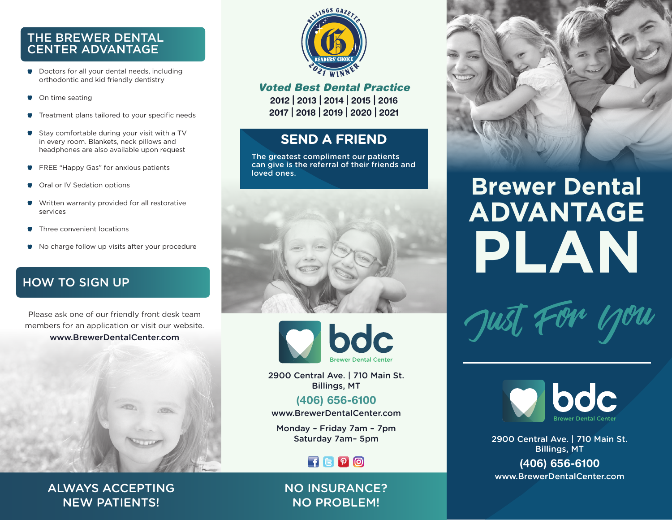#### THE BREWER DENTAL CENTER ADVANTAGE

- **Doctors for all your dental needs, including** orthodontic and kid friendly dentistry
- **W** On time seating
- Treatment plans tailored to your specific needs
- Stay comfortable during your visit with a TV in every room. Blankets, neck pillows and headphones are also available upon request
- FREE "Happy Gas" for anxious patients
- **W** Oral or IV Sedation options
- Written warranty provided for all restorative services
- **Three convenient locations**
- $\bullet$  No charge follow up visits after your procedure

#### HOW TO SIGN UP

Please ask one of our friendly front desk team members for an application or visit our website. www.BrewerDentalCenter.com







#### *Voted Best Dental Practice*

2012 | 2013 | 2014 | 2015 | 2016 2017 | 2018 | 2019 | 2020 | 2021

#### **SEND A FRIEND**

The greatest compliment our patients can give is the referral of their friends and loved ones.





2900 Central Ave. | 710 Main St. Billings, MT

(406) 656-6100 www.BrewerDentalCenter.com

Monday – Friday 7am – 7pm

### $F$  $B$  $P$  $O$

#### NO INSURANCE? NO PROBLEM!



# **Brewer Dental ADVANTAGE PLAN**





Saturday 7am– 5pm 2900 Central Ave. | 710 Main St. Billings, MT

> (406) 656-6100 www.BrewerDentalCenter.com